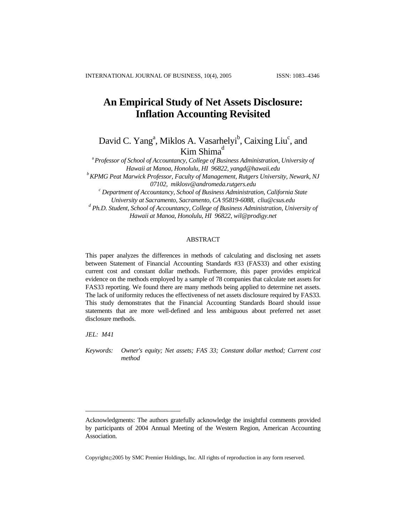# **An Empirical Study of Net Assets Disclosure: Inflation Accounting Revisited**

David C. Yang<sup>a</sup>, Miklos A. Vasarh[e](#page-0-0)lyi<sup>b</sup>, Caixing Liu<sup>c</sup>, and Kim Shima<sup>d</sup>

<sup>a</sup>*Professor of School of Accountancy, College of Business Administration, University of Hawaii at Manoa, Honolulu, HI 96822, yangd@hawaii.edu b KPMG Peat Marwick Professor, Faculty of Management, Rutgers University, Newark, NJ*

*07102, miklosv@andromeda.rutgers.edu c*

 *Department of Accountancy, School of Business Administration, California State University at Sacramento, Sacramento, CA 95819-6088, cliu@csus.edu* 

*d Ph.D. Student, School of Accountancy, College of Business Administration, University of Hawaii at Manoa, Honolulu, HI 96822, wil@prodigy.net* 

### ABSTRACT

This paper analyzes the differences in methods of calculating and disclosing net assets between Statement of Financial Accounting Standards #33 (FAS33) and other existing current cost and constant dollar methods. Furthermore, this paper provides empirical evidence on the methods employed by a sample of 78 companies that calculate net assets for FAS33 reporting. We found there are many methods being applied to determine net assets. The lack of uniformity reduces the effectiveness of net assets disclosure required by FAS33. This study demonstrates that the Financial Accounting Standards Board should issue statements that are more well-defined and less ambiguous about preferred net asset disclosure methods.

*JEL: M41* 

i<br>I

*Keywords: Owner's equity; Net assets; FAS 33; Constant dollar method; Current cost method* 

Copyright©2005 by SMC Premier Holdings, Inc. All rights of reproduction in any form reserved.

<span id="page-0-0"></span>Acknowledgments: The authors gratefully acknowledge the insightful comments provided by participants of 2004 Annual Meeting of the Western Region, American Accounting Association.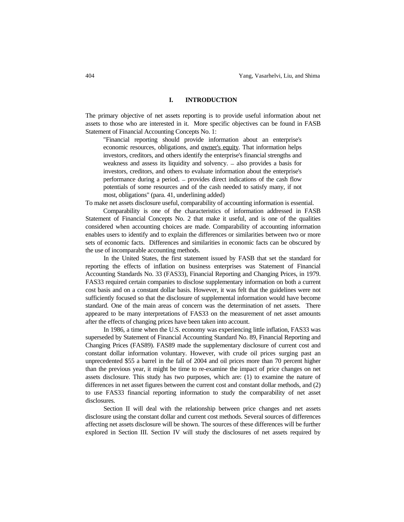### **I. INTRODUCTION**

The primary objective of net assets reporting is to provide useful information about net assets to those who are interested in it. More specific objectives can be found in FASB Statement of Financial Accounting Concepts No. 1:

 "Financial reporting should provide information about an enterprise's economic resources, obligations, and owner's equity. That information helps investors, creditors, and others identify the enterprise's financial strengths and weakness and assess its liquidity and solvency. – also provides a basis for investors, creditors, and others to evaluate information about the enterprise's performance during a period. – provides direct indications of the cash flow potentials of some resources and of the cash needed to satisfy many, if not most, obligations" (para. 41, underlining added)

To make net assets disclosure useful, comparability of accounting information is essential.

 Comparability is one of the characteristics of information addressed in FASB Statement of Financial Concepts No. 2 that make it useful, and is one of the qualities considered when accounting choices are made. Comparability of accounting information enables users to identify and to explain the differences or similarities between two or more sets of economic facts. Differences and similarities in economic facts can be obscured by the use of incomparable accounting methods.

 In the United States, the first statement issued by FASB that set the standard for reporting the effects of inflation on business enterprises was Statement of Financial Accounting Standards No. 33 (FAS33), Financial Reporting and Changing Prices, in 1979. FAS33 required certain companies to disclose supplementary information on both a current cost basis and on a constant dollar basis. However, it was felt that the guidelines were not sufficiently focused so that the disclosure of supplemental information would have become standard. One of the main areas of concern was the determination of net assets. There appeared to be many interpretations of FAS33 on the measurement of net asset amounts after the effects of changing prices have been taken into account.

 In 1986, a time when the U.S. economy was experiencing little inflation, FAS33 was superseded by Statement of Financial Accounting Standard No. 89, Financial Reporting and Changing Prices (FAS89). FAS89 made the supplementary disclosure of current cost and constant dollar information voluntary. However, with crude oil prices surging past an unprecedented \$55 a barrel in the fall of 2004 and oil prices more than 70 percent higher than the previous year, it might be time to re-examine the impact of price changes on net assets disclosure. This study has two purposes, which are: (1) to examine the nature of differences in net asset figures between the current cost and constant dollar methods, and (2) to use FAS33 financial reporting information to study the comparability of net asset disclosures.

 Section II will deal with the relationship between price changes and net assets disclosure using the constant dollar and current cost methods. Several sources of differences affecting net assets disclosure will be shown. The sources of these differences will be further explored in Section III. Section IV will study the disclosures of net assets required by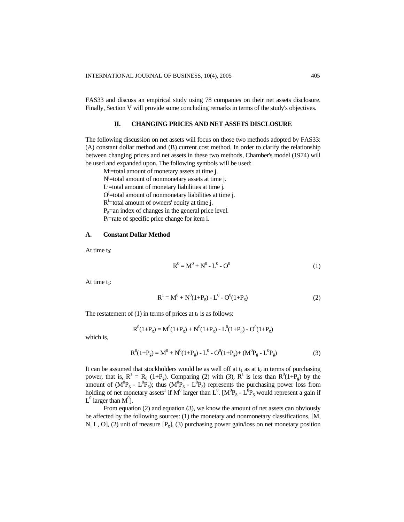FAS33 and discuss an empirical study using 78 companies on their net assets disclosure. Finally, Section V will provide some concluding remarks in terms of the study's objectives.

### **II. CHANGING PRICES AND NET ASSETS DISCLOSURE**

The following discussion on net assets will focus on those two methods adopted by FAS33: (A) constant dollar method and (B) current cost method. In order to clarify the relationship between changing prices and net assets in these two methods, Chamber's model (1974) will be used and expanded upon. The following symbols will be used:

M<sup>j</sup>=total amount of monetary assets at time j.

N<sup>j</sup>=total amount of nonmonetary assets at time j.

 $L^j$ =total amount of monetary liabilities at time j.

 $O^j$ =total amount of nonmonetary liabilities at time j.

 $R^j$ =total amount of owners' equity at time j.

 $P_g$ =an index of changes in the general price level.

P<sub>i</sub>=rate of specific price change for item i.

#### **A. Constant Dollar Method**

At time  $t_0$ :

$$
R^0 = M^0 + N^0 - L^0 - O^0 \tag{1}
$$

At time  $t_1$ :

$$
R^{1} = M^{0} + N^{0}(1+P_{g}) - L^{0} - O^{0}(1+P_{g})
$$
\n(2)

The restatement of (1) in terms of prices at  $t_1$  is as follows:

$$
R^{0}(1+P_g) = M^{0}(1+P_g) + N^{0}(1+P_g) - L^{0}(1+P_g) - O^{0}(1+P_g)
$$

which is,

$$
R^{0}(1+P_{g}) = M^{0} + N^{0}(1+P_{g}) - L^{0} - O^{0}(1+P_{g}) + (M^{0}P_{g} - L^{0}P_{g})
$$
\n(3)

It can be assumed that stockholders would be as well off at  $t_1$  as at  $t_0$  in terms of purchasing power, that is,  $R^1 = R_0$  (1+P<sub>g</sub>). Comparing (2) with (3),  $R^1$  is less than  $R^0(1+P_g)$  by the amount of  $(M^{0}P_{g} - L^{0}P_{g})$ ; thus  $(M^{0}P_{g} - L^{0}P_{g})$  represents the purchasing power loss from holding of net monetary assets<sup>1</sup> if  $M^0$  larger than  $L^0$ .  $[M^0P_g - L^0P_g$  would represent a gain if  $L^0$  larger than  $M^0$ ].

From equation (2) and equation (3), we know the amount of net assets can obviously be affected by the following sources: (1) the monetary and nonmonetary classifications, [M, N, L, O], (2) unit of measure [Pg], (3) purchasing power gain/loss on net monetary position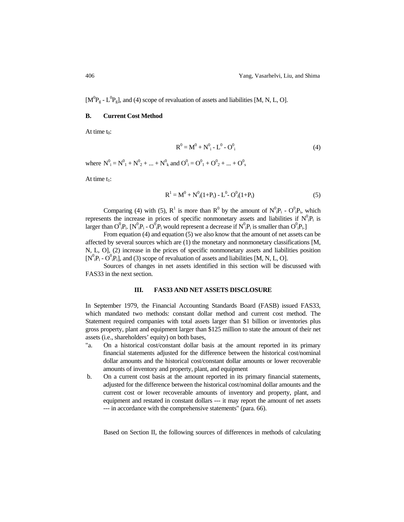$[M^0P_g - L^0P_g]$ , and (4) scope of revaluation of assets and liabilities [M, N, L, O].

#### **B. Current Cost Method**

At time  $t_0$ :

$$
R^{0} = M^{0} + N^{0}_{i} - L^{0} - O^{0}_{i}
$$
 (4)

where  $N^0_i = N^0_1 + N^0_2 + ... + N^0_k$  and  $O^0_i = O^0_1 + O^0_2 + ... + O^0_s$ 

At time  $t_1$ :

$$
R^{1} = M^{0} + N^{0}_{i}(1+P_{i}) - L^{0} - O^{0}_{i}(1+P_{i})
$$
\n(5)

Comparing (4) with (5),  $R^1$  is more than  $R^0$  by the amount of  $N^0 \cdot P_i - O^0 \cdot P_i$ , which represents the increase in prices of specific nonmonetary assets and liabilities if  $N^0_{\;i}P_i$  is larger than  $O^0_iP_i$ . [N<sup>0</sup><sub>i</sub>P<sub>i</sub> - O<sup>0</sup><sub>i</sub>P<sub>i</sub> would represent a decrease if N<sup>0</sup><sub>i</sub>P<sub>i</sub> is smaller than O<sup>0</sup><sub>i</sub>P<sub>i</sub>.]

 From equation (4) and equation (5) we also know that the amount of net assets can be affected by several sources which are (1) the monetary and nonmonetary classifications [M, N, L, O], (2) increase in the prices of specific nonmonetary assets and liabilities position  $[N^0_iP_i - O^0_iP_i]$ , and (3) scope of revaluation of assets and liabilities [M, N, L, O].

 Sources of changes in net assets identified in this section will be discussed with FAS33 in the next section.

### **III. FAS33 AND NET ASSETS DISCLOSURE**

In September 1979, the Financial Accounting Standards Board (FASB) issued FAS33, which mandated two methods: constant dollar method and current cost method. The Statement required companies with total assets larger than \$1 billion or inventories plus gross property, plant and equipment larger than \$125 million to state the amount of their net assets (i.e., shareholders' equity) on both bases,

- "a. On a historical cost/constant dollar basis at the amount reported in its primary financial statements adjusted for the difference between the historical cost/nominal dollar amounts and the historical cost/constant dollar amounts or lower recoverable amounts of inventory and property, plant, and equipment
- b. On a current cost basis at the amount reported in its primary financial statements, adjusted for the difference between the historical cost/nominal dollar amounts and the current cost or lower recoverable amounts of inventory and property, plant, and equipment and restated in constant dollars --- it may report the amount of net assets --- in accordance with the comprehensive statements" (para. 66).

Based on Section II, the following sources of differences in methods of calculating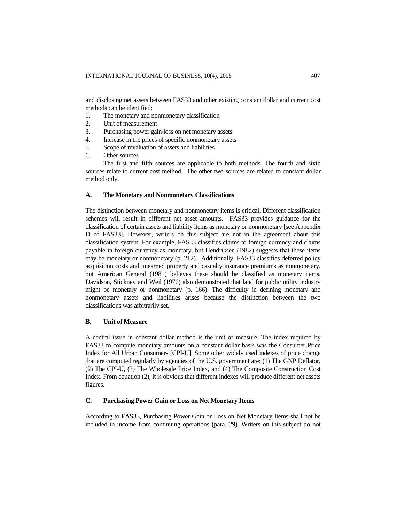and disclosing net assets between FAS33 and other existing constant dollar and current cost methods can be identified:

- 1. The monetary and nonmonetary classification
- 2. Unit of measurement
- 3. Purchasing power gain/loss on net monetary assets
- 4. Increase in the prices of specific nonmonetary assets
- 5. Scope of revaluation of assets and liabilities
- 6. Other sources

The first and fifth sources are applicable to both methods. The fourth and sixth sources relate to current cost method. The other two sources are related to constant dollar method only.

#### **A. The Monetary and Nonmonetary Classifications**

The distinction between monetary and nonmonetary items is critical. Different classification schemes will result in different net asset amounts. FAS33 provides guidance for the classification of certain assets and liability items as monetary or nonmonetary [see Appendix D of FAS33]. However, writers on this subject are not in the agreement about this classification system. For example, FAS33 classifies claims to foreign currency and claims payable in foreign currency as monetary, but Hendriksen (1982) suggests that these items may be monetary or nonmonetary (p. 212). Additionally, FAS33 classifies deferred policy acquisition costs and unearned property and casualty insurance premiums as nonmonetary, but American General (1981) believes these should be classified as monetary items. Davidson, Stickney and Weil (1976) also demonstrated that land for public utility industry might be monetary or nonmonetary (p. 166). The difficulty in defining monetary and nonmonetary assets and liabilities arises because the distinction between the two classifications was arbitrarily set.

### **B. Unit of Measure**

A central issue in constant dollar method is the unit of measure. The index required by FAS33 to compute monetary amounts on a constant dollar basis was the Consumer Price Index for All Urban Consumers [CPI-U]. Some other widely used indexes of price change that are computed regularly by agencies of the U.S. government are: (1) The GNP Deflator, (2) The CPI-U, (3) The Wholesale Price Index, and (4) The Composite Construction Cost Index. From equation (2), it is obvious that different indexes will produce different net assets figures.

#### **C. Purchasing Power Gain or Loss on Net Monetary Items**

According to FAS33, Purchasing Power Gain or Loss on Net Monetary Items shall not be included in income from continuing operations (para. 29). Writers on this subject do not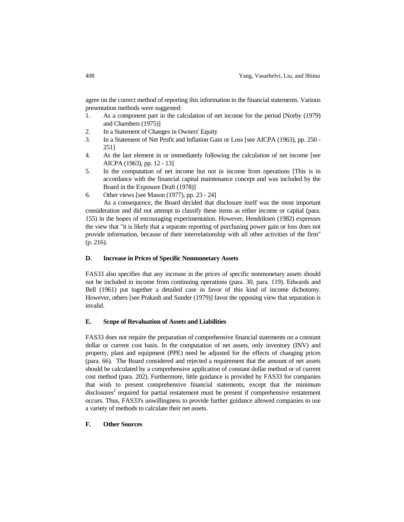agree on the correct method of reporting this information in the financial statements. Various presentation methods were suggested:

- 1. As a component part in the calculation of net income for the period [Norby (1979) and Chambers (1975)]
- 2. In a Statement of Changes in Owners' Equity
- 3. In a Statement of Net Profit and Inflation Gain or Loss [see AICPA (1963), pp. 250 251]
- 4. As the last element in or immediately following the calculation of net income [see AICPA (1963), pp. 12 - 13]
- 5. In the computation of net income but not in income from operations [This is in accordance with the financial capital maintenance concept and was included by the Board in the Exposure Draft (1978)]
- 6. Other views [see Mason (1977), pp. 23 24]

 As a consequence, the Board decided that disclosure itself was the most important consideration and did not attempt to classify these items as either income or capital (para. 155) in the hopes of encouraging experimentation. However, Hendriksen (1982) expresses the view that "it is likely that a separate reporting of purchasing power gain or loss does not provide information, because of their interrelationship with all other activities of the firm" (p. 216).

### **D. Increase in Prices of Specific Nonmonetary Assets**

FAS33 also specifies that any increase in the prices of specific nonmonetary assets should not be included in income from continuing operations (para. 30, para. 119). Edwards and Bell (1961) put together a detailed case in favor of this kind of income dichotomy. However, others [see Prakash and Sunder (1979)] favor the opposing view that separation is invalid.

### **E. Scope of Revaluation of Assets and Liabilities**

FAS33 does not require the preparation of comprehensive financial statements on a constant dollar or current cost basis. In the computation of net assets, only inventory (INV) and property, plant and equipment (PPE) need be adjusted for the effects of changing prices (para. 66). The Board considered and rejected a requirement that the amount of net assets should be calculated by a comprehensive application of constant dollar method or of current cost method (para. 202). Furthermore, little guidance is provided by FAS33 for companies that wish to present comprehensive financial statements, except that the minimum disclosures<sup>2</sup> required for partial restatement must be present if comprehensive restatement occurs. Thus, FAS33's unwillingness to provide further guidance allowed companies to use a variety of methods to calculate their net assets.

#### **F. Other Sources**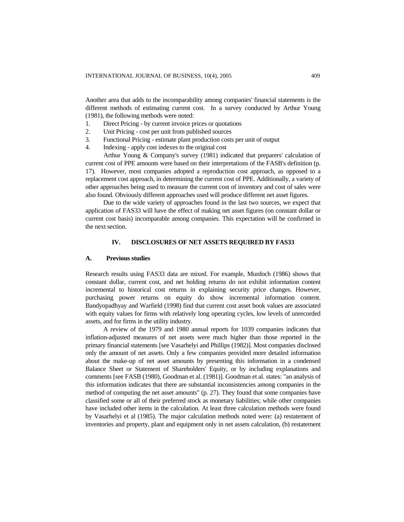Another area that adds to the incomparability among companies' financial statements is the different methods of estimating current cost. In a survey conducted by Arthur Young (1981), the following methods were noted:

- 1. Direct Pricing by current invoice prices or quotations
- 2. Unit Pricing cost per unit from published sources
- 3. Functional Pricing estimate plant production costs per unit of output
- 4. Indexing apply cost indexes to the original cost

Arthur Young & Company's survey (1981) indicated that preparers' calculation of current cost of PPE amounts were based on their interpretations of the FASB's definition (p. 17). However, most companies adopted a reproduction cost approach, as opposed to a replacement cost approach, in determining the current cost of PPE. Additionally, a variety of other approaches being used to measure the current cost of inventory and cost of sales were also found. Obviously different approaches used will produce different net asset figures.

Due to the wide variety of approaches found in the last two sources, we expect that application of FAS33 will have the effect of making net asset figures (on constant dollar or current cost basis) incomparable among companies. This expectation will be confirmed in the next section.

### **IV. DISCLOSURES OF NET ASSETS REQUIRED BY FAS33**

#### **A. Previous studies**

Research results using FAS33 data are mixed. For example, Murdoch (1986) shows that constant dollar, current cost, and net holding returns do not exhibit information content incremental to historical cost returns in explaining security price changes. However, purchasing power returns on equity do show incremental information content. Bandyopadhyay and Warfield (1998) find that current cost asset book values are associated with equity values for firms with relatively long operating cycles, low levels of unrecorded assets, and for firms in the utility industry.

A review of the 1979 and 1980 annual reports for 1039 companies indicates that inflation-adjusted measures of net assets were much higher than those reported in the primary financial statements [see Vasarhelyi and Phillips (1982)]. Most companies disclosed only the amount of net assets. Only a few companies provided more detailed information about the make-up of net asset amounts by presenting this information in a condensed Balance Sheet or Statement of Shareholders' Equity, or by including explanations and comments [see FASB (1980), Goodman et al. (1981)]. Goodman et al. states: "an analysis of this information indicates that there are substantial inconsistencies among companies in the method of computing the net asset amounts" (p. 27). They found that some companies have classified some or all of their preferred stock as monetary liabilities; while other companies have included other items in the calculation. At least three calculation methods were found by Vasarhelyi et al (1985). The major calculation methods noted were: (a) restatement of inventories and property, plant and equipment only in net assets calculation, (b) restatement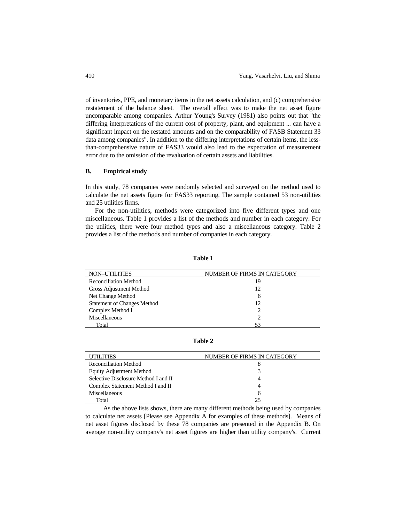of inventories, PPE, and monetary items in the net assets calculation, and (c) comprehensive restatement of the balance sheet. The overall effect was to make the net asset figure uncomparable among companies. Arthur Young's Survey (1981) also points out that "the differing interpretations of the current cost of property, plant, and equipment ... can have a significant impact on the restated amounts and on the comparability of FASB Statement 33 data among companies". In addition to the differing interpretations of certain items, the lessthan-comprehensive nature of FAS33 would also lead to the expectation of measurement error due to the omission of the revaluation of certain assets and liabilities.

### **B. Empirical study**

In this study, 78 companies were randomly selected and surveyed on the method used to calculate the net assets figure for FAS33 reporting. The sample contained 53 non-utilities and 25 utilities firms.

 For the non-utilities, methods were categorized into five different types and one miscellaneous. Table 1 provides a list of the methods and number in each category. For the utilities, there were four method types and also a miscellaneous category. Table 2 provides a list of the methods and number of companies in each category.

| <b>NON-UTILITIES</b>               | NUMBER OF FIRMS IN CATEGORY |
|------------------------------------|-----------------------------|
| <b>Reconciliation Method</b>       | 19                          |
| Gross Adjustment Method            | 12                          |
| Net Change Method                  | 6                           |
| <b>Statement of Changes Method</b> | 12                          |
| Complex Method I                   |                             |
| Miscellaneous                      |                             |
| Total                              |                             |

**Table 1** 

**Table 2** 

| <b>UTILITIES</b>                     | NUMBER OF FIRMS IN CATEGORY |
|--------------------------------------|-----------------------------|
| <b>Reconciliation Method</b>         |                             |
| Equity Adjustment Method             |                             |
| Selective Disclosure Method I and II | 4                           |
| Complex Statement Method I and II    | 4                           |
| Miscellaneous                        | 6                           |
| Total                                | 25                          |

 As the above lists shows, there are many different methods being used by companies to calculate net assets [Please see Appendix A for examples of these methods]. Means of net asset figures disclosed by these 78 companies are presented in the Appendix B. On average non-utility company's net asset figures are higher than utility company's. Current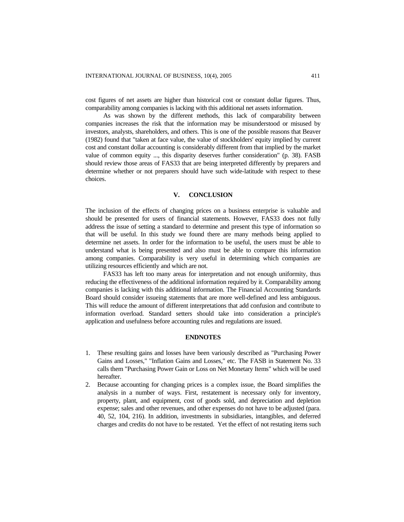cost figures of net assets are higher than historical cost or constant dollar figures. Thus, comparability among companies is lacking with this additional net assets information.

As was shown by the different methods, this lack of comparability between companies increases the risk that the information may be misunderstood or misused by investors, analysts, shareholders, and others. This is one of the possible reasons that Beaver (1982) found that "taken at face value, the value of stockholders' equity implied by current cost and constant dollar accounting is considerably different from that implied by the market value of common equity ..., this disparity deserves further consideration" (p. 38). FASB should review those areas of FAS33 that are being interpreted differently by preparers and determine whether or not preparers should have such wide-latitude with respect to these choices.

### **V. CONCLUSION**

The inclusion of the effects of changing prices on a business enterprise is valuable and should be presented for users of financial statements. However, FAS33 does not fully address the issue of setting a standard to determine and present this type of information so that will be useful. In this study we found there are many methods being applied to determine net assets. In order for the information to be useful, the users must be able to understand what is being presented and also must be able to compare this information among companies. Comparability is very useful in determining which companies are utilizing resources efficiently and which are not.

FAS33 has left too many areas for interpretation and not enough uniformity, thus reducing the effectiveness of the additional information required by it. Comparability among companies is lacking with this additional information. The Financial Accounting Standards Board should consider issueing statements that are more well-defined and less ambiguous. This will reduce the amount of different interpretations that add confusion and contribute to information overload. Standard setters should take into consideration a principle's application and usefulness before accounting rules and regulations are issued.

### **ENDNOTES**

- 1. These resulting gains and losses have been variously described as "Purchasing Power Gains and Losses," "Inflation Gains and Losses," etc. The FASB in Statement No. 33 calls them "Purchasing Power Gain or Loss on Net Monetary Items" which will be used hereafter.
- 2. Because accounting for changing prices is a complex issue, the Board simplifies the analysis in a number of ways. First, restatement is necessary only for inventory, property, plant, and equipment, cost of goods sold, and depreciation and depletion expense; sales and other revenues, and other expenses do not have to be adjusted (para. 40, 52, 104, 216). In addition, investments in subsidiaries, intangibles, and deferred charges and credits do not have to be restated. Yet the effect of not restating items such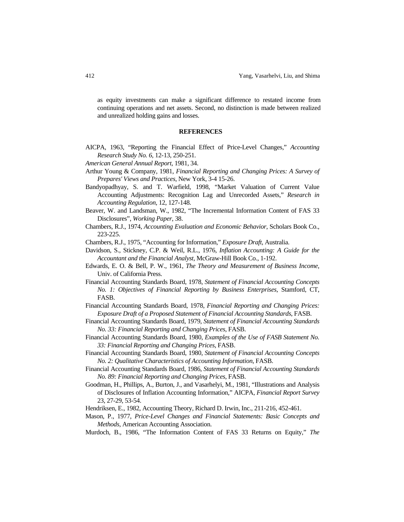as equity investments can make a significant difference to restated income from continuing operations and net assets. Second, no distinction is made between realized and unrealized holding gains and losses.

#### **REFERENCES**

- AICPA, 1963, "Reporting the Financial Effect of Price-Level Changes," *Accounting Research Study No. 6*, 12-13, 250-251.
- *American General Annual Report*, 1981, 34.
- Arthur Young & Company, 1981, *Financial Reporting and Changing Prices: A Survey of Prepares' Views and Practices*, New York, 3-4 15-26.
- Bandyopadhyay, S. and T. Warfield, 1998, "Market Valuation of Current Value Accounting Adjustments: Recognition Lag and Unrecorded Assets," *Research in Accounting Regulation*, 12, 127-148.
- Beaver, W. and Landsman, W., 1982, "The Incremental Information Content of FAS 33 Disclosures", *Working Paper*, 38.
- Chambers, R.J., 1974, *Accounting Evaluation and Economic Behavior*, Scholars Book Co., 223-225.
- Chambers, R.J., 1975, "Accounting for Information," *Exposure Draft*, Australia.
- Davidson, S., Stickney, C.P. & Weil, R.L., 1976, *Inflation Accounting: A Guide for the Accountant and the Financial Analyst*, McGraw-Hill Book Co., 1-192.
- Edwards, E. O. & Bell, P. W., 1961, *The Theory and Measurement of Business Income*, Univ. of California Press.
- Financial Accounting Standards Board, 1978, *Statement of Financial Accounting Concepts No. 1: Objectives of Financial Reporting by Business Enterprises*, Stamford, CT, FASB.
- Financial Accounting Standards Board, 1978, *Financial Reporting and Changing Prices: Exposure Draft of a Proposed Statement of Financial Accounting Standards*, FASB.
- Financial Accounting Standards Board, 1979, *Statement of Financial Accounting Standards No. 33: Financial Reporting and Changing Prices*, FASB.
- Financial Accounting Standards Board, 1980, *Examples of the Use of FASB Statement No. 33: Financial Reporting and Changing Prices*, FASB.
- Financial Accounting Standards Board, 1980, *Statement of Financial Accounting Concepts No. 2: Qualitative Characteristics of Accounting Information*, FASB.
- Financial Accounting Standards Board, 1986, *Statement of Financial Accounting Standards No. 89: Financial Reporting and Changing Prices*, FASB.
- Goodman, H., Phillips, A., Burton, J., and Vasarhelyi, M., 1981, "Illustrations and Analysis of Disclosures of Inflation Accounting Information," AICPA, *Financial Report Survey* 23, 27-29, 53-54.
- Hendriksen, E., 1982, Accounting Theory, Richard D. Irwin, Inc., 211-216, 452-461.
- Mason, P., 1977, *Price-Level Changes and Financial Statements: Basic Concepts and Methods*, American Accounting Association.
- Murdoch, B., 1986, "The Information Content of FAS 33 Returns on Equity," *The*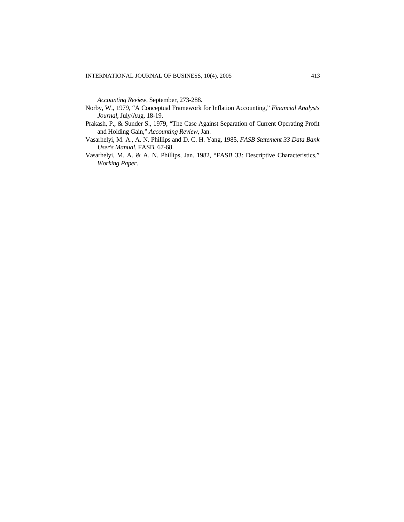*Accounting Review*, September, 273-288.

- Norby, W., 1979, "A Conceptual Framework for Inflation Accounting," *Financial Analysts Journal*, July/Aug, 18-19.
- Prakash, P., & Sunder S., 1979, "The Case Against Separation of Current Operating Profit and Holding Gain," *Accounting Review*, Jan.
- Vasarhelyi, M. A., A. N. Phillips and D. C. H. Yang, 1985, *FASB Statement 33 Data Bank User's Manual*, FASB, 67-68.
- Vasarhelyi, M. A. & A. N. Phillips, Jan. 1982, "FASB 33: Descriptive Characteristics," *Working Paper*.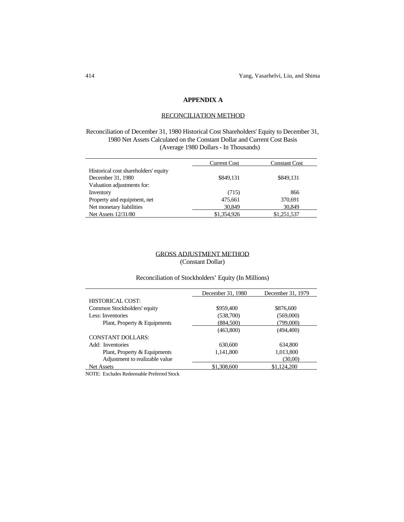# **APPENDIX A**

### RECONCILIATION METHOD

Reconciliation of December 31, 1980 Historical Cost Shareholders' Equity to December 31, 1980 Net Assets Calculated on the Constant Dollar and Current Cost Basis (Average 1980 Dollars - In Thousands)

|                                      | <b>Current Cost</b> | <b>Constant Cost</b> |
|--------------------------------------|---------------------|----------------------|
| Historical cost shareholders' equity |                     |                      |
| December 31, 1980                    | \$849.131           | \$849.131            |
| Valuation adjustments for:           |                     |                      |
| Inventory                            | (715)               | 866                  |
| Property and equipment, net          | 475,661             | 370,691              |
| Net monetary liabilities             | 30,849              | 30,849               |
| Net Assets 12/31/80                  | \$1,354,926         | \$1,251,537          |

# GROSS ADJUSTMENT METHOD (Constant Dollar)

# Reconciliation of Stockholders' Equity (In Millions)

|                                | December 31, 1980 | December 31, 1979 |
|--------------------------------|-------------------|-------------------|
| HISTORICAL COST:               |                   |                   |
| Common Stockholders' equity    | \$959,400         | \$876,600         |
| Less: Inventories              | (538,700)         | (569,000)         |
| Plant, Property & Equipments   | (884,500)         | (799,000)         |
|                                | (463,800)         | (494, 400)        |
| CONSTANT DOLLARS:              |                   |                   |
| Add: Inventories               | 630,600           | 634,800           |
| Plant, Property & Equipments   | 1,141,800         | 1,013,800         |
| Adjustment to realizable value |                   | (30,00)           |
| Net Assets                     | \$1,308,600       | \$1,124,200       |

NOTE: Excludes Redeemable Preferred Stock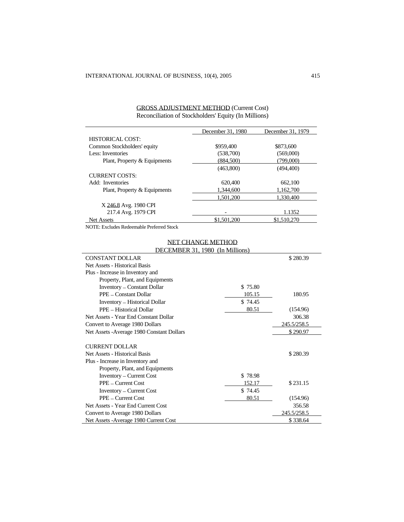|                              | December 31, 1980 | December 31, 1979 |
|------------------------------|-------------------|-------------------|
| HISTORICAL COST:             |                   |                   |
| Common Stockholders' equity  | \$959,400         | \$873,600         |
| Less: Inventories            | (538,700)         | (569,000)         |
| Plant, Property & Equipments | (884, 500)        | (799,000)         |
|                              | (463,800)         | (494, 400)        |
| <b>CURRENT COSTS:</b>        |                   |                   |
| Add: Inventories             | 620,400           | 662,100           |
| Plant, Property & Equipments | 1.344,600         | 1.162.700         |
|                              | 1.501.200         | 1.330.400         |
| X 246.8 Avg. 1980 CPI        |                   |                   |
| 217.4 Avg. 1979 CPI          |                   | 1.1352            |
| Net Assets                   | \$1,501,200       | \$1,510,270       |

# GROSS ADJUSTMENT METHOD (Current Cost) Reconciliation of Stockholders' Equity (In Millions)

NOTE: Excludes Redeemable Preferred Stock

# NET CHANGE METHOD

| DECEMBER 31, 1980 (In Millions)            |         |             |
|--------------------------------------------|---------|-------------|
| <b>CONSTANT DOLLAR</b>                     |         | \$280.39    |
| Net Assets - Historical Basis              |         |             |
| Plus - Increase in Inventory and           |         |             |
| Property, Plant, and Equipments            |         |             |
| <b>Inventory</b> – Constant Dollar         | \$75.80 |             |
| PPE - Constant Dollar                      | 105.15  | 180.95      |
| <b>Inventory</b> – Historical Dollar       | \$74.45 |             |
| PPE - Historical Dollar                    | 80.51   | (154.96)    |
| Net Assets - Year End Constant Dollar      |         | 306.38      |
| Convert to Average 1980 Dollars            |         | 245.5/258.5 |
| Net Assets - Average 1980 Constant Dollars |         | \$290.97    |
| <b>CURRENT DOLLAR</b>                      |         |             |
| Net Assets - Historical Basis              |         | \$280.39    |
| Plus - Increase in Inventory and           |         |             |
| Property, Plant, and Equipments            |         |             |
| <b>Inventory</b> – Current Cost            | \$78.98 |             |
| $PPE$ – Current Cost                       | 152.17  | \$231.15    |
| <b>Inventory</b> – Current Cost            | \$74.45 |             |
| PPE - Current Cost                         | 80.51   | (154.96)    |
| Net Assets - Year End Current Cost         |         | 356.58      |
| Convert to Average 1980 Dollars            |         | 245.5/258.5 |
| Net Assets - Average 1980 Current Cost     |         | \$338.64    |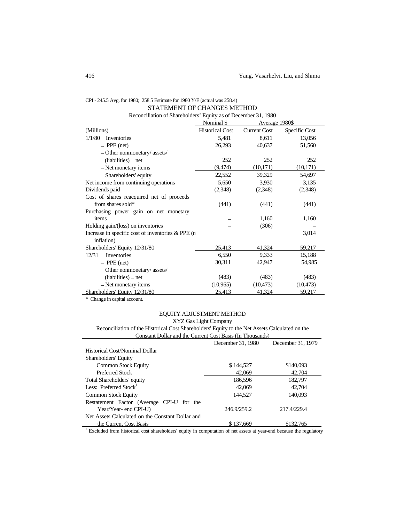| STATEMENT OF CHANGES METHOD                                    |                        |                     |               |  |  |
|----------------------------------------------------------------|------------------------|---------------------|---------------|--|--|
| Reconciliation of Shareholders' Equity as of December 31, 1980 |                        |                     |               |  |  |
| Nominal \$<br>Average 1980\$                                   |                        |                     |               |  |  |
| (Millions)                                                     | <b>Historical Cost</b> | <b>Current Cost</b> | Specific Cost |  |  |
| $1/1/80$ - Inventories                                         | 5,481                  | 8,611               | 13,056        |  |  |
| $-$ PPE (net)                                                  | 26,293                 | 40,637              | 51,560        |  |  |
| $-$ Other nonmonetary/ assets/                                 |                        |                     |               |  |  |
| $(liabilities) - net$                                          | 252                    | 252                 | 252           |  |  |
| - Net monetary items                                           | (9, 474)               | (10, 171)           | (10, 171)     |  |  |
| - Shareholders' equity                                         | 22,552                 | 39,329              | 54,697        |  |  |
| Net income from continuing operations                          | 5,650                  | 3,930               | 3,135         |  |  |
| Dividends paid                                                 | (2,348)                | (2,348)             | (2,348)       |  |  |
| Cost of shares reacquired net of proceeds                      |                        |                     |               |  |  |
| from shares sold*                                              | (441)                  | (441)               | (441)         |  |  |
| Purchasing power gain on net monetary                          |                        |                     |               |  |  |
| items                                                          |                        | 1,160               | 1,160         |  |  |
| Holding gain/(loss) on inventories                             |                        | (306)               |               |  |  |
| Increase in specific cost of inventories $&$ PPE (n            |                        |                     | 3,014         |  |  |
| inflation)                                                     |                        |                     |               |  |  |
| Shareholders' Equity 12/31/80                                  | 25,413                 | 41,324              | 59,217        |  |  |
| $12/31$ - Inventories                                          | 6,550                  | 9,333               | 15,188        |  |  |
| $-$ PPE (net)                                                  | 30,311                 | 42,947              | 54,985        |  |  |
| $-$ Other nonmonetary/ assets/                                 |                        |                     |               |  |  |
| $(liabilities) - net$                                          | (483)                  | (483)               | (483)         |  |  |
| - Net monetary items                                           | (10, 965)              | (10, 473)           | (10, 473)     |  |  |
| Shareholders' Equity 12/31/80                                  | 25,413                 | 41,324              | 59,217        |  |  |

# CPI - 245.5 Avg. for 1980; 258.5 Estimate for 1980 Y/E (actual was 258.4) STATEMENT OF CHANGES METHOD

\* Change in capital account.

# EQUITY ADJUSTMENT METHOD

XYZ Gas Light Company

| Reconciliation of the Historical Cost Shareholders' Equity to the Net Assets Calculated on the |  |
|------------------------------------------------------------------------------------------------|--|
| Constant Dollar and the Current Cost Basis (In Thousands)                                      |  |

| Constant Donal and the Current Cost Dasis (111 Thousands)                                                          |                   |                   |  |  |
|--------------------------------------------------------------------------------------------------------------------|-------------------|-------------------|--|--|
|                                                                                                                    | December 31, 1980 | December 31, 1979 |  |  |
| Historical Cost/Nominal Dollar                                                                                     |                   |                   |  |  |
| Shareholders' Equity                                                                                               |                   |                   |  |  |
| <b>Common Stock Equity</b>                                                                                         | \$144,527         | \$140,093         |  |  |
| Preferred Stock                                                                                                    | 42,069            | 42,704            |  |  |
| Total Shareholders' equity                                                                                         | 186,596           | 182,797           |  |  |
| Less: Preferred Stock <sup>1</sup>                                                                                 | 42,069            | 42,704            |  |  |
| <b>Common Stock Equity</b>                                                                                         | 144,527           | 140,093           |  |  |
| Restatement Factor (Average CPI-U for the                                                                          |                   |                   |  |  |
| Year/Year- end CPI-U)                                                                                              | 246.9/259.2       | 217.4/229.4       |  |  |
| Net Assets Calculated on the Constant Dollar and                                                                   |                   |                   |  |  |
| the Current Cost Basis                                                                                             | \$137,669         | \$132,765         |  |  |
| Excluded from historical cost shareholders' equity in computation of net assets at year-end because the regulatory |                   |                   |  |  |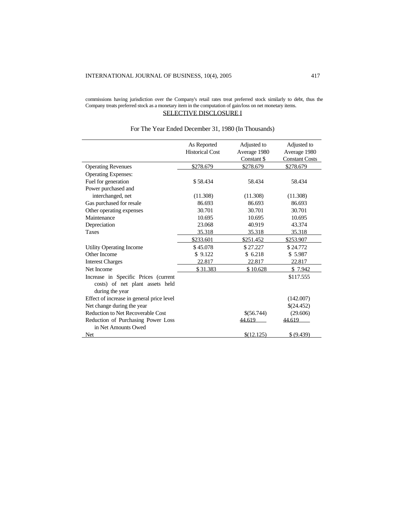#### commissions having jurisdiction over the Company's retail rates treat preferred stock similarly to debt, thus the Company treats preferred stock as a monetary item in the computation of gain/loss on net monetary items. SELECTIVE DISCLOSURE I

|                                           | As Reported            | Adjusted to  | Adjusted to           |
|-------------------------------------------|------------------------|--------------|-----------------------|
|                                           | <b>Historical Cost</b> | Average 1980 | Average 1980          |
|                                           |                        | Constant \$  | <b>Constant Costs</b> |
| <b>Operating Revenues</b>                 | \$278.679              | \$278.679    | \$278.679             |
| <b>Operating Expenses:</b>                |                        |              |                       |
| Fuel for generation                       | \$58.434               | 58.434       | 58.434                |
| Power purchased and                       |                        |              |                       |
| interchanged, net                         | (11.308)               | (11.308)     | (11.308)              |
| Gas purchased for resale                  | 86.693                 | 86.693       | 86.693                |
| Other operating expenses                  | 30.701                 | 30.701       | 30.701                |
| Maintenance                               | 10.695                 | 10.695       | 10.695                |
| Depreciation                              | 23.068                 | 40.919       | 43.374                |
| <b>Taxes</b>                              | 35.318                 | 35.318       | 35.318                |
|                                           | \$233.601              | \$251.452    | \$253.907             |
| Utility Operating Income                  | \$45.078               | \$27.227     | \$24.772              |
| Other Income                              | \$9.122                | \$6.218      | \$5.987               |
| <b>Interest Charges</b>                   | 22.817                 | 22.817       | 22.817                |
| Net Income                                | \$31.383               | \$10.628     | \$7.942               |
| Increase in Specific Prices (current      |                        |              | \$117.555             |
| costs) of net plant assets held           |                        |              |                       |
| during the year                           |                        |              |                       |
| Effect of increase in general price level |                        |              | (142.007)             |
| Net change during the year                |                        |              | \$(24.452)            |
| <b>Reduction to Net Recoverable Cost</b>  |                        | \$(56.744)   | (29.606)              |
| Reduction of Purchasing Power Loss        |                        | 44.619       | 44.619                |
| in Net Amounts Owed                       |                        |              |                       |
| Net                                       |                        | \$(12.125)   | \$ (9.439)            |

# For The Year Ended December 31, 1980 (In Thousands)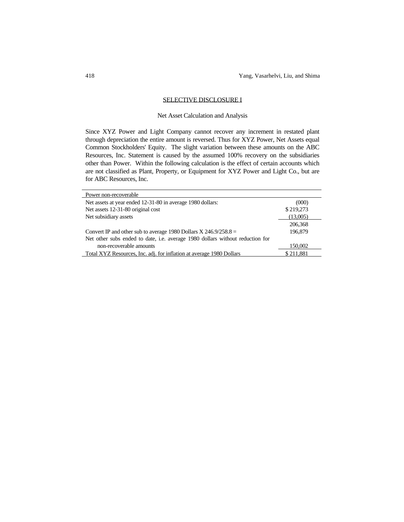### SELECTIVE DISCLOSURE I

### Net Asset Calculation and Analysis

Since XYZ Power and Light Company cannot recover any increment in restated plant through depreciation the entire amount is reversed. Thus for XYZ Power, Net Assets equal Common Stockholders' Equity. The slight variation between these amounts on the ABC Resources, Inc. Statement is caused by the assumed 100% recovery on the subsidiaries other than Power. Within the following calculation is the effect of certain accounts which are not classified as Plant, Property, or Equipment for XYZ Power and Light Co., but are for ABC Resources, Inc.

| Power non-recoverable                                                                |           |
|--------------------------------------------------------------------------------------|-----------|
| Net assets at year ended 12-31-80 in average 1980 dollars:                           | (000)     |
| Net assets 12-31-80 original cost                                                    | \$219,273 |
| Net subsidiary assets                                                                | (13,005)  |
|                                                                                      | 206,368   |
| Convert IP and other sub to average 1980 Dollars X $246.9/258.8 =$                   | 196,879   |
| Net other subs ended to date, <i>i.e.</i> average 1980 dollars without reduction for |           |
| non-recoverable amounts                                                              | 150,002   |
| Total XYZ Resources, Inc. adj. for inflation at average 1980 Dollars                 | \$211.881 |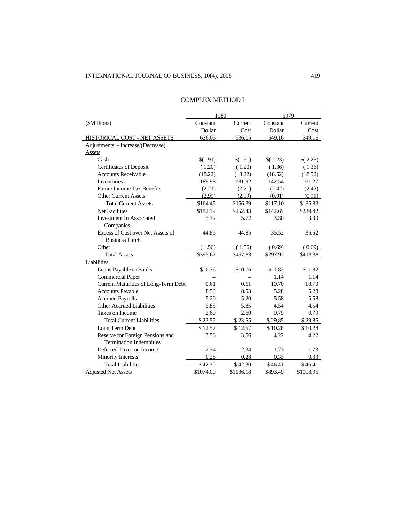|                                      |           | 1980      |          | 1979      |  |
|--------------------------------------|-----------|-----------|----------|-----------|--|
| (\$Millions)                         | Constant  | Current   | Constant | Current   |  |
|                                      | Dollar    | Cost      | Dollar   | Cost      |  |
| HISTORICAL COST - NET ASSETS         | 636.05    | 636.05    | 549.16   | 549.16    |  |
| Adjustments: - Increase/(Decrease)   |           |           |          |           |  |
| <b>Assets</b>                        |           |           |          |           |  |
| Cash                                 | (91)      | (91)      | (2.23)   | (2.23)    |  |
| Certificates of Deposit              | (1.20)    | (1.20)    | (1.36)   | (1.36)    |  |
| <b>Accounts Receivable</b>           | (18.22)   | (18.22)   | (18.52)  | (18.52)   |  |
| <b>Inventories</b>                   | 189.98    | 181.92    | 142.54   | 161.27    |  |
| <b>Future Income Tax Benefits</b>    | (2.21)    | (2.21)    | (2.42)   | (2.42)    |  |
| <b>Other Current Assets</b>          | (2.99)    | (2.99)    | (0.91)   | (0.91)    |  |
| <b>Total Current Assets</b>          | \$164.45  | \$156.39  | \$117.10 | \$135.83  |  |
| Net Facilities                       | \$182.19  | \$252.43  | \$142.69 | \$239.42  |  |
| <b>Investment In Associated</b>      | 5.72      | 5.72      | 3.30     | 3.30      |  |
| Companies                            |           |           |          |           |  |
| Excess of Cost over Net Assets of    | 44.85     | 44.85     | 35.52    | 35.52     |  |
| <b>Business Purch.</b>               |           |           |          |           |  |
| Other                                | (1.56)    | (1.56)    | (0.69)   | (0.69)    |  |
| <b>Total Assets</b>                  | \$395.67  | \$457.83  | \$297.92 | \$413.38  |  |
| Liabilities                          |           |           |          |           |  |
| Loans Payable to Banks               | \$0.76    | \$0.76    | \$1.82   | \$1.82    |  |
| <b>Commercial Paper</b>              |           |           | 1.14     | 1.14      |  |
| Current Maturities of Long-Term Debt | 0.61      | 0.61      | 10.70    | 10.70     |  |
| <b>Accounts Payable</b>              | 8.53      | 8.53      | 5.28     | 5.28      |  |
| <b>Accrued Payrolls</b>              | 5.20      | 5.20      | 5.58     | 5.58      |  |
| <b>Other Accrued Liabilities</b>     | 5.85      | 5.85      | 4.54     | 4.54      |  |
| Taxes on Income                      | 2.60      | 2.60      | 0.79     | 0.79      |  |
| <b>Total Current Liabilities</b>     | \$23.55   | \$23.55   | \$29.85  | \$29.85   |  |
| Long Term Debt                       | \$12.57   | \$12.57   | \$10.28  | \$10.28   |  |
| Reserve for Foreign Pensions and     | 3.56      | 3.56      | 4.22     | 4.22      |  |
| <b>Termination Indemnities</b>       |           |           |          |           |  |
| Deferred Taxes on Income             | 2.34      | 2.34      | 1.73     | 1.73      |  |
| Minority Interests                   | 0.28      | 0.28      | 0.33     | 0.33      |  |
| <b>Total Liabilities</b>             | \$42.30   | \$42.30   | \$46.41  | \$46.41   |  |
| <b>Adjusted Net Assets</b>           | \$1074.00 | \$1136.18 | \$893.49 | \$1008.95 |  |

### COMPLEX METHOD I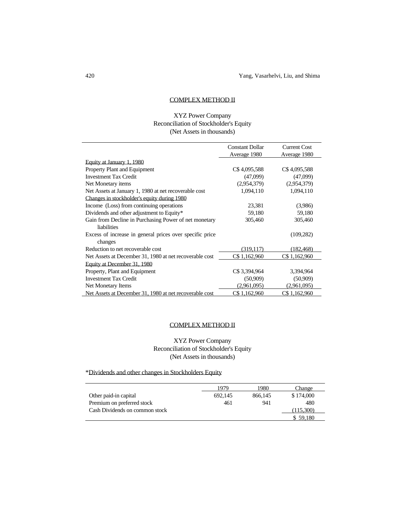### COMPLEX METHOD II

# XYZ Power Company Reconciliation of Stockholder's Equity (Net Assets in thousands)

|                                                          | <b>Constant Dollar</b> | <b>Current Cost</b> |
|----------------------------------------------------------|------------------------|---------------------|
|                                                          | Average 1980           | Average 1980        |
| Equity at January 1, 1980                                |                        |                     |
| Property Plant and Equipment                             | C\$4,095,588           | C\$4,095,588        |
| <b>Investment Tax Credit</b>                             | (47,099)               | (47,099)            |
| Net Monetary items                                       | (2,954,379)            | (2,954,379)         |
| Net Assets at January 1, 1980 at net recoverable cost    | 1,094,110              | 1,094,110           |
| Changes in stockholder's equity during 1980              |                        |                     |
| Income (Loss) from continuing operations                 | 23,381                 | (3,986)             |
| Dividends and other adjustment to Equity*                | 59,180                 | 59,180              |
| Gain from Decline in Purchasing Power of net monetary    | 305,460                | 305,460             |
| liabilities                                              |                        |                     |
| Excess of increase in general prices over specific price |                        | (109, 282)          |
| changes                                                  |                        |                     |
| Reduction to net recoverable cost                        | (319, 117)             | (182, 468)          |
| Net Assets at December 31, 1980 at net recoverable cost  | C\$ 1,162,960          | C\$1,162,960        |
| Equity at December 31, 1980                              |                        |                     |
| Property, Plant and Equipment                            | C\$ 3,394,964          | 3,394,964           |
| <b>Investment Tax Credit</b>                             | (50,909)               | (50,909)            |
| Net Monetary Items                                       | (2,961,095)            | (2,961,095)         |
| Net Assets at December 31, 1980 at net recoverable cost  | C\$ 1,162,960          | C\$1.162.960        |

### COMPLEX METHOD II

# XYZ Power Company Reconciliation of Stockholder's Equity (Net Assets in thousands)

# \*Dividends and other changes in Stockholders Equity

|                                | 1979    | 1980    | Change    |
|--------------------------------|---------|---------|-----------|
| Other paid-in capital          | 692.145 | 866.145 | \$174,000 |
| Premium on preferred stock     | 461     | 941     | 480       |
| Cash Dividends on common stock |         |         | 15.300)   |
|                                |         |         | 59.180    |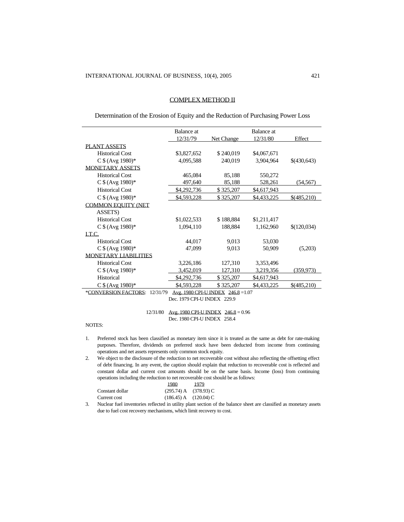### COMPLEX METHOD II

Determination of the Erosion of Equity and the Reduction of Purchasing Power Loss

|                                  | Balance at  |                                    | Balance at  |             |
|----------------------------------|-------------|------------------------------------|-------------|-------------|
|                                  | 12/31/79    | Net Change                         | 12/31/80    | Effect      |
| <b>PLANT ASSETS</b>              |             |                                    |             |             |
| <b>Historical Cost</b>           | \$3,827,652 | \$240,019                          | \$4,067,671 |             |
| $C $ (Avg 1980)*$                | 4,095,588   | 240,019                            | 3,904,964   | \$(430,643) |
| <b>MONETARY ASSETS</b>           |             |                                    |             |             |
| <b>Historical Cost</b>           | 465,084     | 85,188                             | 550,272     |             |
| $C $ (Avg 1980)*$                | 497,640     | 85,188                             | 528,261     | (54, 567)   |
| <b>Historical Cost</b>           | \$4,292,736 | \$325,207                          | \$4,617,943 |             |
| $C $ (Avg 1980)*$                | \$4,593,228 | \$325,207                          | \$4,433,225 | \$(485,210) |
| <b>COMMON EQUITY (NET</b>        |             |                                    |             |             |
| ASSETS)                          |             |                                    |             |             |
| <b>Historical Cost</b>           | \$1,022,533 | \$188,884                          | \$1,211,417 |             |
| $C $ (Avg 1980)*$                | 1,094,110   | 188,884                            | 1,162,960   | \$(120,034) |
| LT.C.                            |             |                                    |             |             |
| <b>Historical Cost</b>           | 44,017      | 9,013                              | 53,030      |             |
| C \$ (Avg 1980)*                 | 47,099      | 9,013                              | 50,909      | (5,203)     |
| <b>MONETARY LIABILITIES</b>      |             |                                    |             |             |
| <b>Historical Cost</b>           | 3,226,186   | 127,310                            | 3,353,496   |             |
| $C $ (Avg 1980)*$                | 3,452,019   | 127,310                            | 3,219,356   | (359, 973)  |
| Historical                       | \$4,292,736 | \$325,207                          | \$4,617,943 |             |
| $C $ (Avg 1980)*$                | \$4,593,228 | \$325,207                          | \$4,433,225 | \$(485,210) |
| *CONVERSION FACTORS:<br>12/31/79 |             | Avg. 1980 CPI-U INDEX 246.8 = 1.07 |             |             |

Dec. 1979 CPI-U INDEX 229.9

#### 12/31/80 Avg. 1980 CPI-U INDEX 246.8 = 0.96 Dec. 1980 CPI-U INDEX 258.4

#### NOTES:

- 1. Preferred stock has been classified as monetary item since it is treated as the same as debt for rate-making purposes. Therefore, dividends on preferred stock have been deducted from income from continuing operations and net assets represents only common stock equity.
- 2. We object to the disclosure of the reduction to net recoverable cost without also reflecting the offsetting effect of debt financing. In any event, the caption should explain that reduction to recoverable cost is reflected and constant dollar and current cost amounts should be on the same basis. Income (loss) from continuing operations including the reduction to net recoverable cost should be as follows:

|                 | 1980.                     | 1979 |
|-----------------|---------------------------|------|
| Constant dollar | $(295.74)$ A $(378.93)$ C |      |
| Current cost    | $(186.45)$ A $(120.04)$ C |      |

3. Nuclear fuel inventories reflected in utility plant section of the balance sheet are classified as monetary assets due to fuel cost recovery mechanisms, which limit recovery to cost.